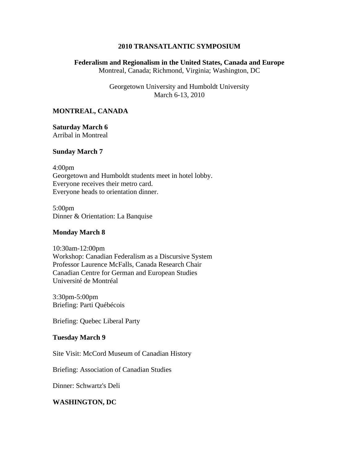# **2010 TRANSATLANTIC SYMPOSIUM**

# **Federalism and Regionalism in the United States, Canada and Europe** Montreal, Canada; Richmond, Virginia; Washington, DC

Georgetown University and Humboldt University March 6-13, 2010

### **MONTREAL, CANADA**

**Saturday March 6** Arribal in Montreal

#### **Sunday March 7**

4:00pm Georgetown and Humboldt students meet in hotel lobby. Everyone receives their metro card. Everyone heads to orientation dinner.

5:00pm Dinner & Orientation: La Banquise

### **Monday March 8**

10:30am-12:00pm Workshop: Canadian Federalism as a Discursive System Professor Laurence McFalls, Canada Research Chair Canadian Centre for German and European Studies Université de Montréal

3:30pm-5:00pm Briefing: Parti Québécois

Briefing: Quebec Liberal Party

#### **Tuesday March 9**

Site Visit: McCord Museum of Canadian History

Briefing: Association of Canadian Studies

Dinner: Schwartz's Deli

# **WASHINGTON, DC**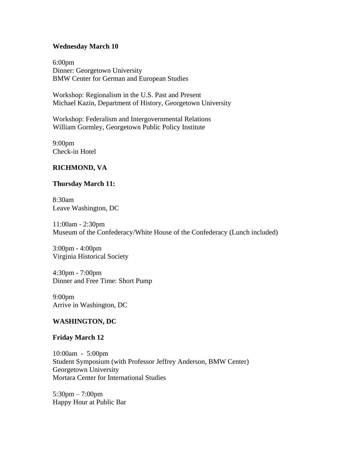### **Wednesday March 10**

6:00pm Dinner: Georgetown University BMW Center for German and European Studies

Workshop: Regionalism in the U.S. Past and Present Michael Kazin, Department of History, Georgetown University

Workshop: Federalism and Intergovernmental Relations William Gormley, Georgetown Public Policy Institute

9:00pm Check-in Hotel

# **RICHMOND, VA**

# **Thursday March 11:**

8:30am Leave Washington, DC

11:00am - 2:30pm Museum of the Confederacy/White House of the Confederacy (Lunch included)

3:00pm - 4:00pm Virginia Historical Society

4:30pm - 7:00pm Dinner and Free Time: Short Pump

9:00pm Arrive in Washington, DC

# **WASHINGTON, DC**

# **Friday March 12**

10:00am - 5:00pm Student Symposium (with Professor Jeffrey Anderson, BMW Center) Georgetown University Mortara Center for International Studies

5:30pm – 7:00pm Happy Hour at Public Bar